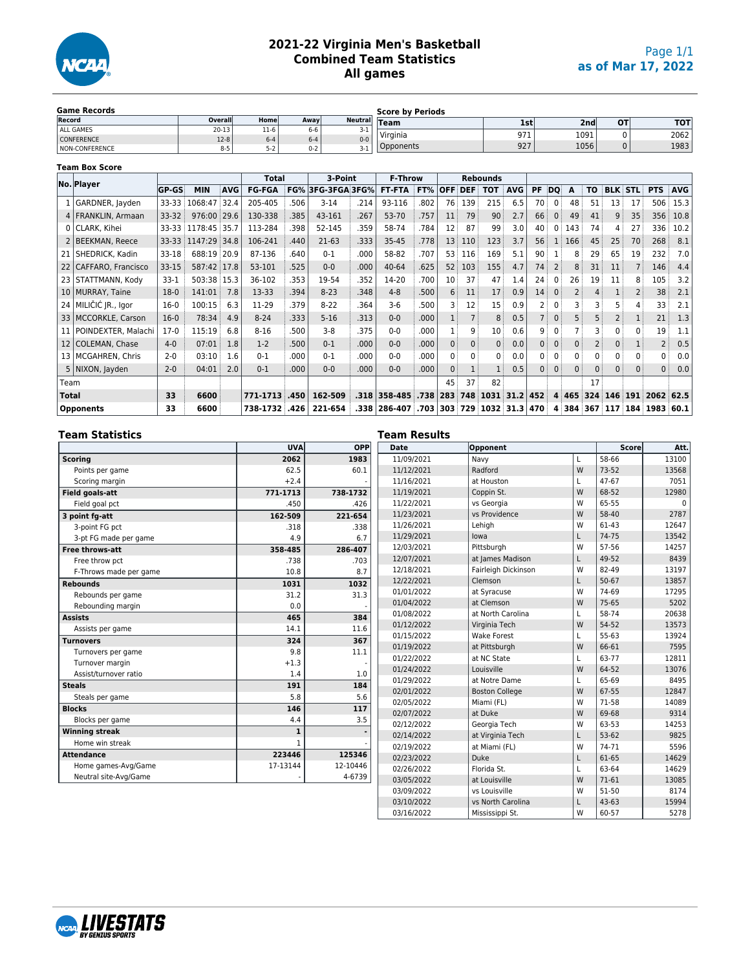

## **2021-22 Virginia Men's Basketball Combined Team Statistics All games**

| <b>Game Records</b>   |         |         |         |                | <b>Score by Periods</b> |     |                  |    |            |
|-----------------------|---------|---------|---------|----------------|-------------------------|-----|------------------|----|------------|
| Record                | Overall | Home    | Awavl   | <b>Neutral</b> | <b>Team</b>             | 1st | 2nd <sub>1</sub> | OT | <b>TOT</b> |
| ALL GAMES             | 20-13   | $11-6$  | 6-6     | 3-1            | Virginia                | 971 | 1091             |    | 2062       |
| <b>CONFERENCE</b>     | $12-8$  | $6 - 4$ | $6 - 4$ | $0 - 0$        |                         |     |                  |    |            |
| <b>NON-CONFERENCE</b> | $8 - 5$ |         | $0 - 2$ | 3- L           | <b>Opponents</b>        | 927 | 1056             |    | 1983       |

|                 | <b>Team Box Score</b> |              |              |            |               |       |              |      |                |      |            |                |                 |            |                   |              |                |           |                |                |                |            |
|-----------------|-----------------------|--------------|--------------|------------|---------------|-------|--------------|------|----------------|------|------------|----------------|-----------------|------------|-------------------|--------------|----------------|-----------|----------------|----------------|----------------|------------|
|                 | No. Player            |              |              |            | <b>Total</b>  |       | 3-Point      |      | <b>F-Throw</b> |      |            |                | <b>Rebounds</b> |            |                   |              |                |           |                |                |                |            |
|                 |                       | <b>GP-GS</b> | <b>MIN</b>   | <b>AVG</b> | <b>FG-FGA</b> | FG%   | 3FG-3FGA3FG% |      | <b>FT-FTA</b>  | FT%  | <b>OFF</b> | <b>DEF</b>     | <b>TOT</b>      | <b>AVG</b> | PF                | DQ           | A              | <b>TO</b> | <b>BLK</b>     | <b>STL</b>     | <b>PTS</b>     | <b>AVG</b> |
|                 | GARDNER, Jayden       | 33-33        | 1068:47      | 32.4       | 205-405       | .506  | $3-14$       | .214 | 93-116         | .802 | 76         | 139            | 215             | 6.5        | 70                | 0            | 48             | 51        | 13             | 17             | 506            | 15.3       |
|                 | 4   FRANKLIN, Armaan  | 33-32        | 976:00       | 29.6       | 130-338       | .385  | 43-161       | .267 | 53-70          | .757 | 11         | 79             | 90              | 2.7        | 66                | $\Omega$     | 49             | 41        | 9              | 35             | 356            | 10.8       |
|                 | 0   CLARK, Kihei      | 33-33        | 1178:45      | 35.7       | 113-284       | .398  | 52-145       | .359 | 58-74          | .784 | 12         | 87             | 99              | 3.0        | 40                | 0            | 143            | 74        | 4              | 27             | 336            | 10.2       |
|                 | <b>BEEKMAN, Reece</b> | 33-33        | 1147:29 34.8 |            | 106-241       | .440  | $21-63$      | .333 | $35 - 45$      | .778 | 13         | 110            | 123             | 3.7        | 56                |              | 166            | 45        | 25             | 70             | 268            | 8.1        |
| 21 <sup>1</sup> | SHEDRICK, Kadin       | 33-18        | 688:19 20.9  |            | 87-136        | .640  | $0 - 1$      | .000 | 58-82          | .707 | 53         | 116            | 169             | 5.1        | 90                |              | 8              | 29        | 65             | 19             | 232            | 7.0        |
| 22              | CAFFARO, Francisco    | $33 - 15$    | 587:42 17.8  |            | 53-101        | .525  | $0 - 0$      | .000 | $40 - 64$      | .625 | 52         | 103            | 155             | 4.7        | 74                |              | 8              | 31        | 11             | $\overline{7}$ | 146            | 4.4        |
| 231             | STATTMANN, Kody       | $33-1$       | 503:38 15.3  |            | 36-102        | .353  | 19-54        | .352 | 14-20          | .700 | 10         | 37             | 47              | 1.4        | 24                |              | 26             | 19        | 11             | 8              | 105            | 3.2        |
|                 | 10   MURRAY, Taine    | $18-0$       | 141:01       | 7.8        | 13-33         | .394  | $8 - 23$     | .348 | $4 - 8$        | .500 | 6          | 11             | 17              | 0.9        | 14 <sup>3</sup>   | $\mathbf{0}$ | $\overline{2}$ | 4         |                | $\overline{2}$ | 38             | 2.1        |
| 24              | MILIČIĆ JR., Igor     | $16-0$       | 100:15       | 6.3        | 11-29         | .379  | $8 - 22$     | .364 | $3-6$          | .500 |            | 12             | 15              | 0.9        |                   |              | 3              | 3         | 5              | 4              | 33             | 2.1        |
| 33              | MCCORKLE, Carson      | $16 - 0$     | 78:34        | 4.9        | $8 - 24$      | .333  | $5 - 16$     | .313 | $0 - 0$        | .000 | 1          | $\overline{7}$ | 8               | 0.5        | $7^{\frac{1}{2}}$ | $\mathbf{0}$ | 5              | 5         | 2 <sup>3</sup> | $\mathbf{1}$   | 21             | 1.3        |
| 11              | POINDEXTER, Malachi   | $17-0$       | 115:19       | 6.8        | $8 - 16$      | .500  | $3 - 8$      | .375 | $0 - 0$        | .000 |            | 9              | 10              | 0.6        | 9                 | 0            | 7              | 3         | 0              | 0              | 19             | 1.1        |
| 12              | COLEMAN, Chase        | $4 - 0$      | 07:01        | 1.8        | $1-2$         | .500  | $0 - 1$      | .000 | $0 - 0$        | .000 | $\Omega$   | $\Omega$       | 0               | 0.0        | 0 <sup>3</sup>    | $\mathbf{0}$ | $\Omega$       | 2         | 0              |                | $\overline{2}$ | 0.5        |
| 13 <sup>1</sup> | MCGAHREN, Chris       | $2 - 0$      | 03:10        | 1.6        | $0 - 1$       | .000  | $0 - 1$      | .000 | $0 - 0$        | .000 | 0          | 0              | 0               | 0.0        | 0:                | 0            | $\Omega$       | 0         | 0              | 0              | 0              | 0.0        |
|                 | 5 NIXON, Jayden       | $2 - 0$      | 04:01        | 2.0        | $0 - 1$       | .000. | $0 - 0$      | .000 | $0 - 0$        | .000 | $\Omega$   |                |                 | 0.5        | 0:                | $\mathbf{0}$ | $\Omega$       | $\Omega$  | 0 <sup>3</sup> | $\Omega$       | $\Omega$       | 0.0        |
| Team            |                       |              |              |            |               |       |              |      |                |      | 45         | 37             | 82              |            |                   |              |                | 17        |                |                |                |            |
| <b>Total</b>    |                       | 33           | 6600         |            | 771-1713      | .450  | 162-509      | .318 | 358-485        | .738 | 283        | 748            | 1031            | 31.2       | 452               |              | 4 4 4 6 5      | 324       | 146            | 191            | 2062           | 62.5       |
|                 | <b>Opponents</b>      | 33           | 6600         |            | 738-1732      | .426  | 221-654      | .338 | 286-407        | .703 | 303        | 729            | $1032$ 31.3     |            | 470               | 4            | 384            | 367       | 117            | 184            | 1983           | 60.1       |

| <b>Team Statistics</b> |              |          | <b>Team Results</b> |                       |   |              |          |  |  |  |  |
|------------------------|--------------|----------|---------------------|-----------------------|---|--------------|----------|--|--|--|--|
|                        | <b>UVA</b>   | OPP      | Date                | Opponent              |   | <b>Score</b> | Att.     |  |  |  |  |
| <b>Scoring</b>         | 2062         | 1983     | 11/09/2021          | Navy                  | L | 58-66        | 13100    |  |  |  |  |
| Points per game        | 62.5         | 60.1     | 11/12/2021          | Radford               | W | 73-52        | 13568    |  |  |  |  |
| Scoring margin         | $+2.4$       |          | 11/16/2021          | at Houston            | L | 47-67        | 7051     |  |  |  |  |
| Field goals-att        | 771-1713     | 738-1732 | 11/19/2021          | Coppin St.            | W | 68-52        | 12980    |  |  |  |  |
| Field goal pct         | .450         | .426     | 11/22/2021          | vs Georgia            | W | 65-55        | $\Omega$ |  |  |  |  |
| 3 point fq-att         | 162-509      | 221-654  | 11/23/2021          | vs Providence         | W | 58-40        | 2787     |  |  |  |  |
| 3-point FG pct         | .318         | .338     | 11/26/2021          | Lehigh                | W | 61-43        | 12647    |  |  |  |  |
| 3-pt FG made per game  | 4.9          | 6.7      | 11/29/2021          | lowa                  | L | 74-75        | 13542    |  |  |  |  |
| <b>Free throws-att</b> | 358-485      | 286-407  | 12/03/2021          | Pittsburgh            | W | 57-56        | 14257    |  |  |  |  |
| Free throw pct         | .738         | .703     | 12/07/2021          | at James Madison      | L | 49-52        | 8439     |  |  |  |  |
| F-Throws made per game | 10.8         | 8.7      | 12/18/2021          | Fairleigh Dickinson   | W | 82-49        | 13197    |  |  |  |  |
| <b>Rebounds</b>        | 1031         | 1032     | 12/22/2021          | Clemson               | L | $50 - 67$    | 13857    |  |  |  |  |
| Rebounds per game      | 31.2         | 31.3     | 01/01/2022          | at Syracuse           | W | 74-69        | 17295    |  |  |  |  |
| Rebounding margin      | 0.0          |          | 01/04/2022          | at Clemson            | W | 75-65        | 5202     |  |  |  |  |
| <b>Assists</b>         | 465          | 384      | 01/08/2022          | at North Carolina     | L | 58-74        | 20638    |  |  |  |  |
| Assists per game       | 14.1         | 11.6     | 01/12/2022          | Virginia Tech         | W | 54-52        | 13573    |  |  |  |  |
| <b>Turnovers</b>       | 324          | 367      | 01/15/2022          | <b>Wake Forest</b>    | L | 55-63        | 13924    |  |  |  |  |
| Turnovers per game     | 9.8          | 11.1     | 01/19/2022          | at Pittsburgh         | W | 66-61        | 7595     |  |  |  |  |
| Turnover margin        | $+1.3$       |          | 01/22/2022          | at NC State           | L | 63-77        | 12811    |  |  |  |  |
| Assist/turnover ratio  | 1.4          | 1.0      | 01/24/2022          | Louisville            | W | 64-52        | 13076    |  |  |  |  |
| <b>Steals</b>          | 191          | 184      | 01/29/2022          | at Notre Dame         | L | 65-69        | 8495     |  |  |  |  |
| Steals per game        | 5.8          | 5.6      | 02/01/2022          | <b>Boston College</b> | W | 67-55        | 12847    |  |  |  |  |
| <b>Blocks</b>          | 146          | 117      | 02/05/2022          | Miami (FL)            | W | 71-58        | 14089    |  |  |  |  |
| Blocks per game        | 4.4          | 3.5      | 02/07/2022          | at Duke               | W | 69-68        | 9314     |  |  |  |  |
| <b>Winning streak</b>  | $\mathbf{1}$ |          | 02/12/2022          | Georgia Tech          | W | 63-53        | 14253    |  |  |  |  |
| Home win streak        | $\mathbf{1}$ |          | 02/14/2022          | at Virginia Tech      | L | 53-62        | 9825     |  |  |  |  |
| <b>Attendance</b>      | 223446       | 125346   | 02/19/2022          | at Miami (FL)         | W | 74-71        | 5596     |  |  |  |  |
|                        | 17-13144     | 12-10446 | 02/23/2022          | Duke                  | L | 61-65        | 14629    |  |  |  |  |
| Home games-Avg/Game    |              |          | 02/26/2022          | Florida St.           | L | 63-64        | 14629    |  |  |  |  |
| Neutral site-Avg/Game  |              | 4-6739   | 03/05/2022          | at Louisville         | W | 71-61        | 13085    |  |  |  |  |
|                        |              |          | 03/09/2022          | vs Louisville         | W | 51-50        | 8174     |  |  |  |  |

03/10/2022 vs North Carolina L 43-63 15994<br>03/16/2022 Mississippi St. W 60-57 5278

Mississippi St.